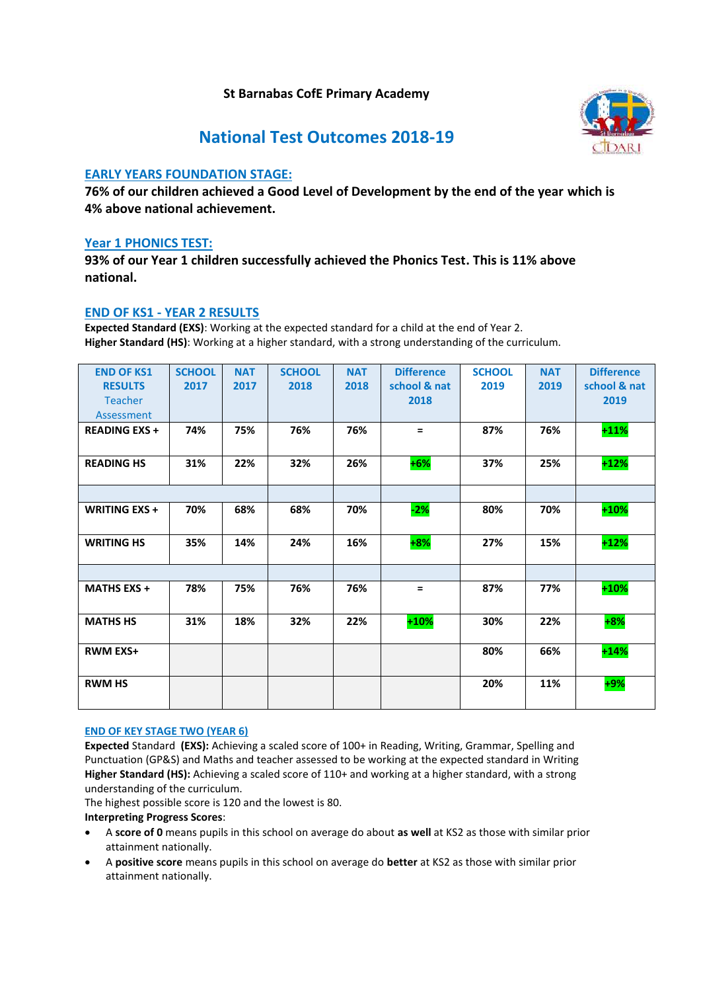## **St Barnabas CofE Primary Academy**



# **National Test Outcomes 2018-19**

## **EARLY YEARS FOUNDATION STAGE:**

**76% of our children achieved a Good Level of Development by the end of the year which is 4% above national achievement.**

### **Year 1 PHONICS TEST:**

**93% of our Year 1 children successfully achieved the Phonics Test. This is 11% above national.**

### **END OF KS1 - YEAR 2 RESULTS**

**Expected Standard (EXS)**: Working at the expected standard for a child at the end of Year 2. **Higher Standard (HS)**: Working at a higher standard, with a strong understanding of the curriculum.

| <b>END OF KS1</b><br><b>RESULTS</b><br><b>Teacher</b><br>Assessment | <b>SCHOOL</b><br>2017 | <b>NAT</b><br>2017 | <b>SCHOOL</b><br>2018 | <b>NAT</b><br>2018 | <b>Difference</b><br>school & nat<br>2018 | <b>SCHOOL</b><br>2019 | <b>NAT</b><br>2019 | <b>Difference</b><br>school & nat<br>2019 |
|---------------------------------------------------------------------|-----------------------|--------------------|-----------------------|--------------------|-------------------------------------------|-----------------------|--------------------|-------------------------------------------|
| <b>READING EXS +</b>                                                | 74%                   | 75%                | 76%                   | 76%                | $=$                                       | 87%                   | 76%                | $+11%$                                    |
| <b>READING HS</b>                                                   | 31%                   | 22%                | 32%                   | 26%                | $+6%$                                     | 37%                   | 25%                | $+12%$                                    |
|                                                                     |                       |                    |                       |                    |                                           |                       |                    |                                           |
| WRITING EXS +                                                       | 70%                   | 68%                | 68%                   | 70%                | $-2%$                                     | 80%                   | 70%                | $+10%$                                    |
| <b>WRITING HS</b>                                                   | 35%                   | 14%                | 24%                   | 16%                | $+8%$                                     | 27%                   | 15%                | $+12%$                                    |
|                                                                     |                       |                    |                       |                    |                                           |                       |                    |                                           |
| <b>MATHS EXS +</b>                                                  | 78%                   | 75%                | 76%                   | 76%                | $=$                                       | 87%                   | 77%                | $+10%$                                    |
| <b>MATHS HS</b>                                                     | 31%                   | 18%                | 32%                   | 22%                | $+10%$                                    | 30%                   | 22%                | $+8%$                                     |
| <b>RWM EXS+</b>                                                     |                       |                    |                       |                    |                                           | 80%                   | 66%                | $+14%$                                    |
| <b>RWM HS</b>                                                       |                       |                    |                       |                    |                                           | 20%                   | 11%                | $+9%$                                     |

#### **END OF KEY STAGE TWO (YEAR 6)**

**Expected** Standard **(EXS):** Achieving a scaled score of 100+ in Reading, Writing, Grammar, Spelling and Punctuation (GP&S) and Maths and teacher assessed to be working at the expected standard in Writing **Higher Standard (HS):** Achieving a scaled score of 110+ and working at a higher standard, with a strong understanding of the curriculum.

The highest possible score is 120 and the lowest is 80.

#### **Interpreting Progress Scores**:

- A **score of 0** means pupils in this school on average do about **as well** at KS2 as those with similar prior attainment nationally.
- A **positive score** means pupils in this school on average do **better** at KS2 as those with similar prior attainment nationally.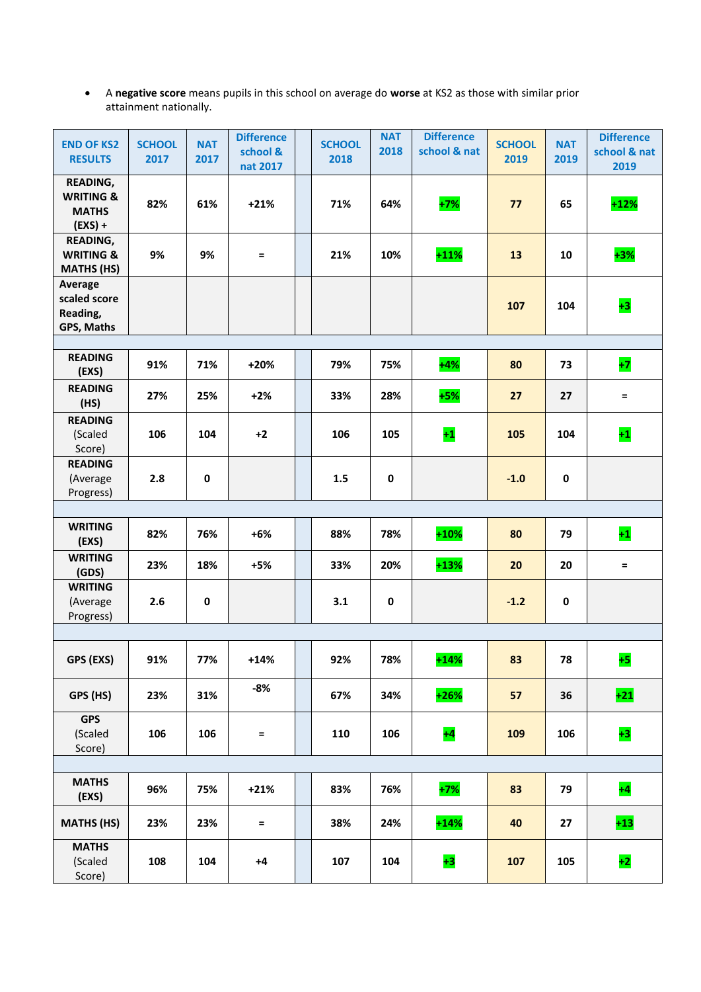A **negative score** means pupils in this school on average do **worse** at KS2 as those with similar prior attainment nationally.

| <b>END OF KS2</b><br><b>RESULTS</b>                                  | <b>SCHOOL</b><br>2017 | <b>NAT</b><br>2017 | <b>Difference</b><br>school &<br>nat 2017 | <b>SCHOOL</b><br>2018 | <b>NAT</b><br>2018 | <b>Difference</b><br>school & nat | <b>SCHOOL</b><br>2019 | <b>NAT</b><br>2019 | <b>Difference</b><br>school & nat<br>2019 |
|----------------------------------------------------------------------|-----------------------|--------------------|-------------------------------------------|-----------------------|--------------------|-----------------------------------|-----------------------|--------------------|-------------------------------------------|
| <b>READING,</b><br><b>WRITING &amp;</b><br><b>MATHS</b><br>$(EXS) +$ | 82%                   | 61%                | $+21%$                                    | 71%                   | 64%                | $+7%$                             | 77                    | 65                 | $+12%$                                    |
| <b>READING,</b><br><b>WRITING &amp;</b><br><b>MATHS (HS)</b>         | 9%                    | 9%                 | $=$                                       | 21%                   | 10%                | $+11%$                            | 13                    | 10                 | $+3%$                                     |
| Average<br>scaled score<br>Reading,<br>GPS, Maths                    |                       |                    |                                           |                       |                    |                                   | 107                   | 104                | $+3$                                      |
| <b>READING</b><br>(EXS)                                              | 91%                   | 71%                | +20%                                      | 79%                   | 75%                | $+4%$                             | 80                    | 73                 | $+7$                                      |
| <b>READING</b><br>(HS)                                               | 27%                   | 25%                | $+2%$                                     | 33%                   | 28%                | $+5%$                             | 27                    | 27                 | $=$                                       |
| <b>READING</b><br>(Scaled<br>Score)                                  | 106                   | 104                | $+2$                                      | 106                   | 105                | $+1$                              | 105                   | 104                | $+1$                                      |
| <b>READING</b><br>(Average<br>Progress)                              | 2.8                   | 0                  |                                           | 1.5                   | $\pmb{0}$          |                                   | $-1.0$                | $\pmb{0}$          |                                           |
|                                                                      |                       |                    |                                           |                       |                    |                                   |                       |                    |                                           |
| <b>WRITING</b><br>(EXS)                                              | 82%                   | 76%                | $+6%$                                     | 88%                   | 78%                | $+10%$                            | 80                    | 79                 | $+1$                                      |
| <b>WRITING</b><br>(GDS)                                              | 23%                   | 18%                | $+5%$                                     | 33%                   | 20%                | $+13%$                            | 20                    | 20                 | $=$                                       |
| <b>WRITING</b><br>(Average<br>Progress)                              | 2.6                   | 0                  |                                           | 3.1                   | 0                  |                                   | $-1.2$                | 0                  |                                           |
|                                                                      |                       |                    |                                           |                       |                    |                                   |                       |                    |                                           |
| GPS (EXS)                                                            | 91%                   | 77%                | $+14%$                                    | 92%                   | 78%                | $+14%$                            | 83                    | 78                 | $+5$                                      |
| GPS (HS)                                                             | 23%                   | 31%                | $-8%$                                     | 67%                   | 34%                | $+26%$                            | 57                    | 36                 | $+21$                                     |
| <b>GPS</b><br>(Scaled<br>Score)                                      | 106                   | 106                | $=$                                       | 110                   | 106                | $+4$                              | 109                   | 106                | $+3$                                      |
|                                                                      |                       |                    |                                           |                       |                    |                                   |                       |                    |                                           |
| <b>MATHS</b><br>(EXS)                                                | 96%                   | 75%                | $+21%$                                    | 83%                   | 76%                | $+7%$                             | 83                    | 79                 | $+4$                                      |
| <b>MATHS (HS)</b>                                                    | 23%                   | 23%                | $=$                                       | 38%                   | 24%                | $+14%$                            | 40                    | 27                 | $+13$                                     |
| <b>MATHS</b><br>(Scaled<br>Score)                                    | 108                   | 104                | $+4$                                      | 107                   | 104                | $+3$                              | 107                   | 105                | $+2$                                      |